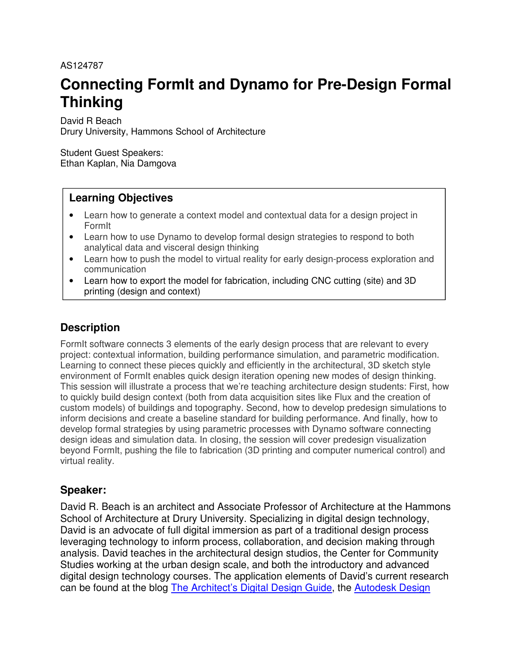### AS124787

# **Connecting FormIt and Dynamo for Pre-Design Formal Thinking**

David R Beach Drury University, Hammons School of Architecture

Student Guest Speakers: Ethan Kaplan, Nia Damgova

# **Learning Objectives**

- Learn how to generate a context model and contextual data for a design project in FormIt
- Learn how to use Dynamo to develop formal design strategies to respond to both analytical data and visceral design thinking
- Learn how to push the model to virtual reality for early design-process exploration and communication
- Learn how to export the model for fabrication, including CNC cutting (site) and 3D printing (design and context)

# **Description**

FormIt software connects 3 elements of the early design process that are relevant to every project: contextual information, building performance simulation, and parametric modification. Learning to connect these pieces quickly and efficiently in the architectural, 3D sketch style environment of FormIt enables quick design iteration opening new modes of design thinking. This session will illustrate a process that we're teaching architecture design students: First, how to quickly build design context (both from data acquisition sites like Flux and the creation of custom models) of buildings and topography. Second, how to develop predesign simulations to inform decisions and create a baseline standard for building performance. And finally, how to develop formal strategies by using parametric processes with Dynamo software connecting design ideas and simulation data. In closing, the session will cover predesign visualization beyond FormIt, pushing the file to fabrication (3D printing and computer numerical control) and virtual reality.

# **Speaker:**

David R. Beach is an architect and Associate Professor of Architecture at the Hammons School of Architecture at Drury University. Specializing in digital design technology, David is an advocate of full digital immersion as part of a traditional design process leveraging technology to inform process, collaboration, and decision making through analysis. David teaches in the architectural design studios, the Center for Community Studies working at the urban design scale, and both the introductory and advanced digital design technology courses. The application elements of David's current research can be found at the blog The Architect's Digital Design Guide, the Autodesk Design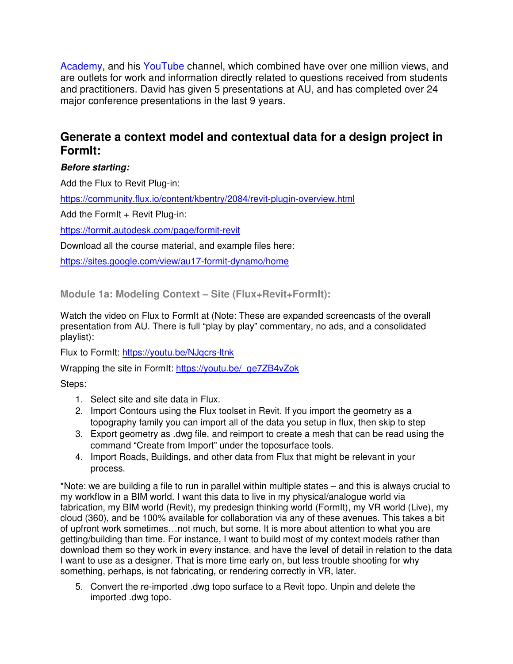Academy, and his YouTube channel, which combined have over one million views, and are outlets for work and information directly related to questions received from students and practitioners. David has given 5 presentations at AU, and has completed over 24 major conference presentations in the last 9 years.

# **Generate a context model and contextual data for a design project in FormIt:**

## **Before starting:**

Add the Flux to Revit Plug-in:

https://community.flux.io/content/kbentry/2084/revit-plugin-overview.html

Add the FormIt  $+$  Revit Plug-in:

https://formit.autodesk.com/page/formit-revit

Download all the course material, and example files here:

https://sites.google.com/view/au17-formit-dynamo/home

**Module 1a: Modeling Context – Site (Flux+Revit+FormIt):** 

Watch the video on Flux to FormIt at (Note: These are expanded screencasts of the overall presentation from AU. There is full "play by play" commentary, no ads, and a consolidated playlist):

Flux to FormIt: https://youtu.be/NJqcrs-ltnk

Wrapping the site in FormIt: https://youtu.be/\_qe7ZB4vZok

Steps:

- 1. Select site and site data in Flux.
- 2. Import Contours using the Flux toolset in Revit. If you import the geometry as a topography family you can import all of the data you setup in flux, then skip to step
- 3. Export geometry as .dwg file, and reimport to create a mesh that can be read using the command "Create from Import" under the toposurface tools.
- 4. Import Roads, Buildings, and other data from Flux that might be relevant in your process.

\*Note: we are building a file to run in parallel within multiple states – and this is always crucial to my workflow in a BIM world. I want this data to live in my physical/analogue world via fabrication, my BIM world (Revit), my predesign thinking world (FormIt), my VR world (Live), my cloud (360), and be 100% available for collaboration via any of these avenues. This takes a bit of upfront work sometimes…not much, but some. It is more about attention to what you are getting/building than time. For instance, I want to build most of my context models rather than download them so they work in every instance, and have the level of detail in relation to the data I want to use as a designer. That is more time early on, but less trouble shooting for why something, perhaps, is not fabricating, or rendering correctly in VR, later.

5. Convert the re-imported .dwg topo surface to a Revit topo. Unpin and delete the imported .dwg topo.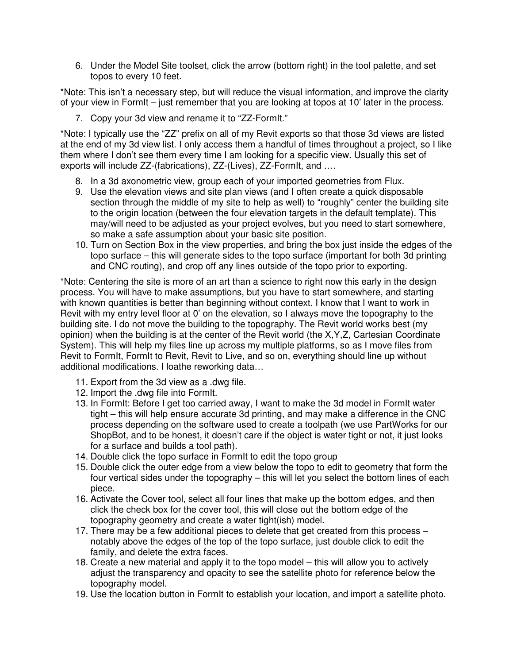6. Under the Model Site toolset, click the arrow (bottom right) in the tool palette, and set topos to every 10 feet.

\*Note: This isn't a necessary step, but will reduce the visual information, and improve the clarity of your view in FormIt – just remember that you are looking at topos at 10' later in the process.

7. Copy your 3d view and rename it to "ZZ-FormIt."

\*Note: I typically use the "ZZ" prefix on all of my Revit exports so that those 3d views are listed at the end of my 3d view list. I only access them a handful of times throughout a project, so I like them where I don't see them every time I am looking for a specific view. Usually this set of exports will include ZZ-(fabrications), ZZ-(Lives), ZZ-FormIt, and ....

- 8. In a 3d axonometric view, group each of your imported geometries from Flux.
- 9. Use the elevation views and site plan views (and I often create a quick disposable section through the middle of my site to help as well) to "roughly" center the building site to the origin location (between the four elevation targets in the default template). This may/will need to be adjusted as your project evolves, but you need to start somewhere, so make a safe assumption about your basic site position.
- 10. Turn on Section Box in the view properties, and bring the box just inside the edges of the topo surface – this will generate sides to the topo surface (important for both 3d printing and CNC routing), and crop off any lines outside of the topo prior to exporting.

\*Note: Centering the site is more of an art than a science to right now this early in the design process. You will have to make assumptions, but you have to start somewhere, and starting with known quantities is better than beginning without context. I know that I want to work in Revit with my entry level floor at 0' on the elevation, so I always move the topography to the building site. I do not move the building to the topography. The Revit world works best (my opinion) when the building is at the center of the Revit world (the X,Y,Z, Cartesian Coordinate System). This will help my files line up across my multiple platforms, so as I move files from Revit to FormIt, FormIt to Revit, Revit to Live, and so on, everything should line up without additional modifications. I loathe reworking data…

- 11. Export from the 3d view as a .dwg file.
- 12. Import the .dwg file into FormIt.
- 13. In FormIt: Before I get too carried away, I want to make the 3d model in FormIt water tight – this will help ensure accurate 3d printing, and may make a difference in the CNC process depending on the software used to create a toolpath (we use PartWorks for our ShopBot, and to be honest, it doesn't care if the object is water tight or not, it just looks for a surface and builds a tool path).
- 14. Double click the topo surface in FormIt to edit the topo group
- 15. Double click the outer edge from a view below the topo to edit to geometry that form the four vertical sides under the topography – this will let you select the bottom lines of each piece.
- 16. Activate the Cover tool, select all four lines that make up the bottom edges, and then click the check box for the cover tool, this will close out the bottom edge of the topography geometry and create a water tight(ish) model.
- 17. There may be a few additional pieces to delete that get created from this process notably above the edges of the top of the topo surface, just double click to edit the family, and delete the extra faces.
- 18. Create a new material and apply it to the topo model this will allow you to actively adjust the transparency and opacity to see the satellite photo for reference below the topography model.
- 19. Use the location button in FormIt to establish your location, and import a satellite photo.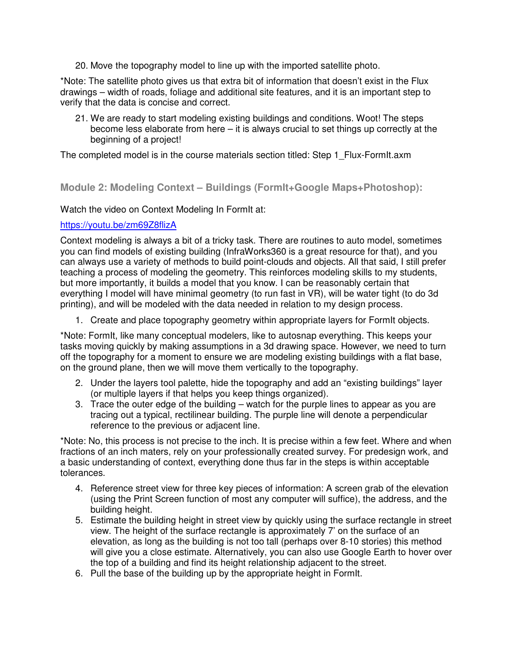20. Move the topography model to line up with the imported satellite photo.

\*Note: The satellite photo gives us that extra bit of information that doesn't exist in the Flux drawings – width of roads, foliage and additional site features, and it is an important step to verify that the data is concise and correct.

21. We are ready to start modeling existing buildings and conditions. Woot! The steps become less elaborate from here – it is always crucial to set things up correctly at the beginning of a project!

The completed model is in the course materials section titled: Step 1 Flux-FormIt.axm

### **Module 2: Modeling Context – Buildings (FormIt+Google Maps+Photoshop):**

Watch the video on Context Modeling In FormIt at:

#### https://youtu.be/zm69Z8flizA

Context modeling is always a bit of a tricky task. There are routines to auto model, sometimes you can find models of existing building (InfraWorks360 is a great resource for that), and you can always use a variety of methods to build point-clouds and objects. All that said, I still prefer teaching a process of modeling the geometry. This reinforces modeling skills to my students, but more importantly, it builds a model that you know. I can be reasonably certain that everything I model will have minimal geometry (to run fast in VR), will be water tight (to do 3d printing), and will be modeled with the data needed in relation to my design process.

1. Create and place topography geometry within appropriate layers for FormIt objects.

\*Note: FormIt, like many conceptual modelers, like to autosnap everything. This keeps your tasks moving quickly by making assumptions in a 3d drawing space. However, we need to turn off the topography for a moment to ensure we are modeling existing buildings with a flat base, on the ground plane, then we will move them vertically to the topography.

- 2. Under the layers tool palette, hide the topography and add an "existing buildings" layer (or multiple layers if that helps you keep things organized).
- 3. Trace the outer edge of the building watch for the purple lines to appear as you are tracing out a typical, rectilinear building. The purple line will denote a perpendicular reference to the previous or adjacent line.

\*Note: No, this process is not precise to the inch. It is precise within a few feet. Where and when fractions of an inch maters, rely on your professionally created survey. For predesign work, and a basic understanding of context, everything done thus far in the steps is within acceptable tolerances.

- 4. Reference street view for three key pieces of information: A screen grab of the elevation (using the Print Screen function of most any computer will suffice), the address, and the building height.
- 5. Estimate the building height in street view by quickly using the surface rectangle in street view. The height of the surface rectangle is approximately 7' on the surface of an elevation, as long as the building is not too tall (perhaps over 8-10 stories) this method will give you a close estimate. Alternatively, you can also use Google Earth to hover over the top of a building and find its height relationship adjacent to the street.
- 6. Pull the base of the building up by the appropriate height in FormIt.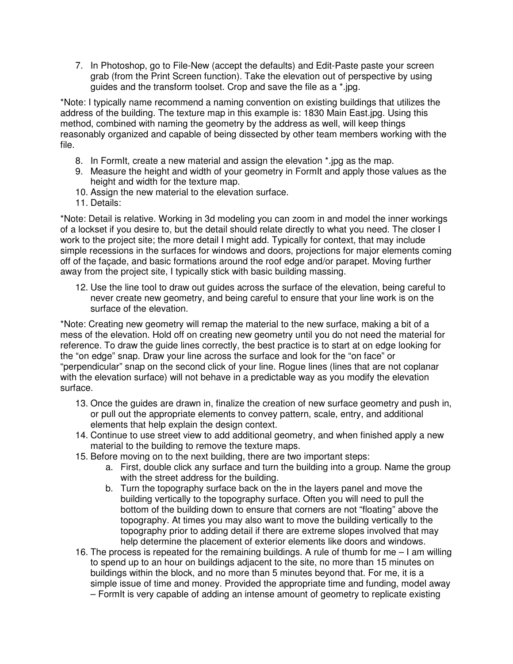7. In Photoshop, go to File-New (accept the defaults) and Edit-Paste paste your screen grab (from the Print Screen function). Take the elevation out of perspective by using guides and the transform toolset. Crop and save the file as a \*.jpg.

\*Note: I typically name recommend a naming convention on existing buildings that utilizes the address of the building. The texture map in this example is: 1830 Main East.jpg. Using this method, combined with naming the geometry by the address as well, will keep things reasonably organized and capable of being dissected by other team members working with the file.

- 8. In FormIt, create a new material and assign the elevation \*.jpg as the map.
- 9. Measure the height and width of your geometry in FormIt and apply those values as the height and width for the texture map.
- 10. Assign the new material to the elevation surface.
- 11. Details:

\*Note: Detail is relative. Working in 3d modeling you can zoom in and model the inner workings of a lockset if you desire to, but the detail should relate directly to what you need. The closer I work to the project site; the more detail I might add. Typically for context, that may include simple recessions in the surfaces for windows and doors, projections for major elements coming off of the façade, and basic formations around the roof edge and/or parapet. Moving further away from the project site, I typically stick with basic building massing.

12. Use the line tool to draw out guides across the surface of the elevation, being careful to never create new geometry, and being careful to ensure that your line work is on the surface of the elevation.

\*Note: Creating new geometry will remap the material to the new surface, making a bit of a mess of the elevation. Hold off on creating new geometry until you do not need the material for reference. To draw the guide lines correctly, the best practice is to start at on edge looking for the "on edge" snap. Draw your line across the surface and look for the "on face" or "perpendicular" snap on the second click of your line. Rogue lines (lines that are not coplanar with the elevation surface) will not behave in a predictable way as you modify the elevation surface.

- 13. Once the guides are drawn in, finalize the creation of new surface geometry and push in, or pull out the appropriate elements to convey pattern, scale, entry, and additional elements that help explain the design context.
- 14. Continue to use street view to add additional geometry, and when finished apply a new material to the building to remove the texture maps.
- 15. Before moving on to the next building, there are two important steps:
	- a. First, double click any surface and turn the building into a group. Name the group with the street address for the building.
	- b. Turn the topography surface back on the in the layers panel and move the building vertically to the topography surface. Often you will need to pull the bottom of the building down to ensure that corners are not "floating" above the topography. At times you may also want to move the building vertically to the topography prior to adding detail if there are extreme slopes involved that may help determine the placement of exterior elements like doors and windows.
- 16. The process is repeated for the remaining buildings. A rule of thumb for me I am willing to spend up to an hour on buildings adjacent to the site, no more than 15 minutes on buildings within the block, and no more than 5 minutes beyond that. For me, it is a simple issue of time and money. Provided the appropriate time and funding, model away – FormIt is very capable of adding an intense amount of geometry to replicate existing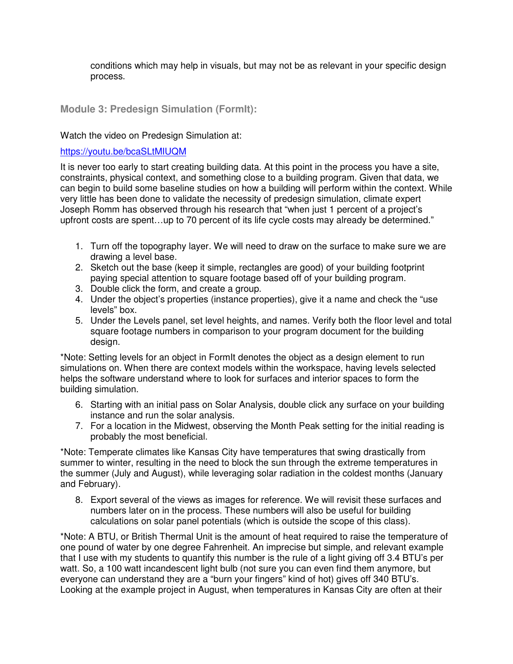conditions which may help in visuals, but may not be as relevant in your specific design process.

### **Module 3: Predesign Simulation (FormIt):**

Watch the video on Predesign Simulation at:

#### https://youtu.be/bcaSLtMIUQM

It is never too early to start creating building data. At this point in the process you have a site, constraints, physical context, and something close to a building program. Given that data, we can begin to build some baseline studies on how a building will perform within the context. While very little has been done to validate the necessity of predesign simulation, climate expert Joseph Romm has observed through his research that "when just 1 percent of a project's upfront costs are spent…up to 70 percent of its life cycle costs may already be determined."

- 1. Turn off the topography layer. We will need to draw on the surface to make sure we are drawing a level base.
- 2. Sketch out the base (keep it simple, rectangles are good) of your building footprint paying special attention to square footage based off of your building program.
- 3. Double click the form, and create a group.
- 4. Under the object's properties (instance properties), give it a name and check the "use levels" box.
- 5. Under the Levels panel, set level heights, and names. Verify both the floor level and total square footage numbers in comparison to your program document for the building design.

\*Note: Setting levels for an object in FormIt denotes the object as a design element to run simulations on. When there are context models within the workspace, having levels selected helps the software understand where to look for surfaces and interior spaces to form the building simulation.

- 6. Starting with an initial pass on Solar Analysis, double click any surface on your building instance and run the solar analysis.
- 7. For a location in the Midwest, observing the Month Peak setting for the initial reading is probably the most beneficial.

\*Note: Temperate climates like Kansas City have temperatures that swing drastically from summer to winter, resulting in the need to block the sun through the extreme temperatures in the summer (July and August), while leveraging solar radiation in the coldest months (January and February).

8. Export several of the views as images for reference. We will revisit these surfaces and numbers later on in the process. These numbers will also be useful for building calculations on solar panel potentials (which is outside the scope of this class).

\*Note: A BTU, or British Thermal Unit is the amount of heat required to raise the temperature of one pound of water by one degree Fahrenheit. An imprecise but simple, and relevant example that I use with my students to quantify this number is the rule of a light giving off 3.4 BTU's per watt. So, a 100 watt incandescent light bulb (not sure you can even find them anymore, but everyone can understand they are a "burn your fingers" kind of hot) gives off 340 BTU's. Looking at the example project in August, when temperatures in Kansas City are often at their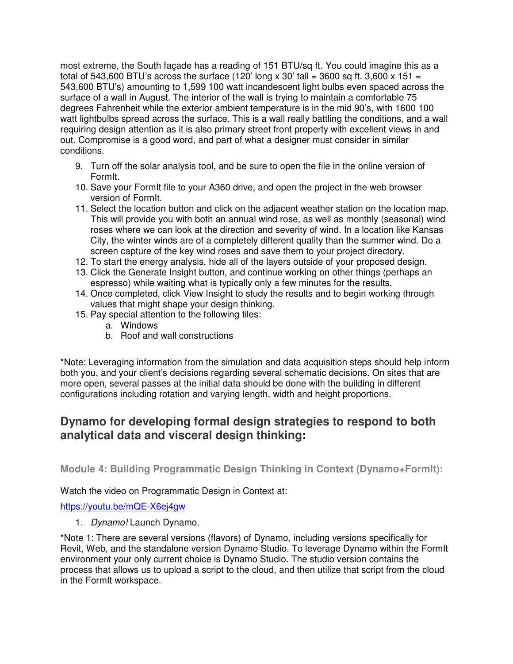most extreme, the South façade has a reading of 151 BTU/sq ft. You could imagine this as a total of 543,600 BTU's across the surface (120' long x 30' tall = 3600 sq ft. 3,600 x 151 = 543,600 BTU's) amounting to 1,599 100 watt incandescent light bulbs even spaced across the surface of a wall in August. The interior of the wall is trying to maintain a comfortable 75 degrees Fahrenheit while the exterior ambient temperature is in the mid 90's, with 1600 100 watt lightbulbs spread across the surface. This is a wall really battling the conditions, and a wall requiring design attention as it is also primary street front property with excellent views in and out. Compromise is a good word, and part of what a designer must consider in similar conditions.

- 9. Turn off the solar analysis tool, and be sure to open the file in the online version of FormIt.
- 10. Save your FormIt file to your A360 drive, and open the project in the web browser version of FormIt.
- 11. Select the location button and click on the adjacent weather station on the location map. This will provide you with both an annual wind rose, as well as monthly (seasonal) wind roses where we can look at the direction and severity of wind. In a location like Kansas City, the winter winds are of a completely different quality than the summer wind. Do a screen capture of the key wind roses and save them to your project directory.
- 12. To start the energy analysis, hide all of the layers outside of your proposed design.
- 13. Click the Generate Insight button, and continue working on other things (perhaps an espresso) while waiting what is typically only a few minutes for the results.
- 14. Once completed, click View Insight to study the results and to begin working through values that might shape your design thinking.
- 15. Pay special attention to the following tiles:
	- a. Windows
	- b. Roof and wall constructions

\*Note: Leveraging information from the simulation and data acquisition steps should help inform both you, and your client's decisions regarding several schematic decisions. On sites that are more open, several passes at the initial data should be done with the building in different configurations including rotation and varying length, width and height proportions.

# **Dynamo for developing formal design strategies to respond to both analytical data and visceral design thinking:**

**Module 4: Building Programmatic Design Thinking in Context (Dynamo+FormIt):** 

Watch the video on Programmatic Design in Context at:

https://youtu.be/mQE-X6ej4gw

1. Dynamo! Launch Dynamo.

\*Note 1: There are several versions (flavors) of Dynamo, including versions specifically for Revit, Web, and the standalone version Dynamo Studio. To leverage Dynamo within the FormIt environment your only current choice is Dynamo Studio. The studio version contains the process that allows us to upload a script to the cloud, and then utilize that script from the cloud in the FormIt workspace.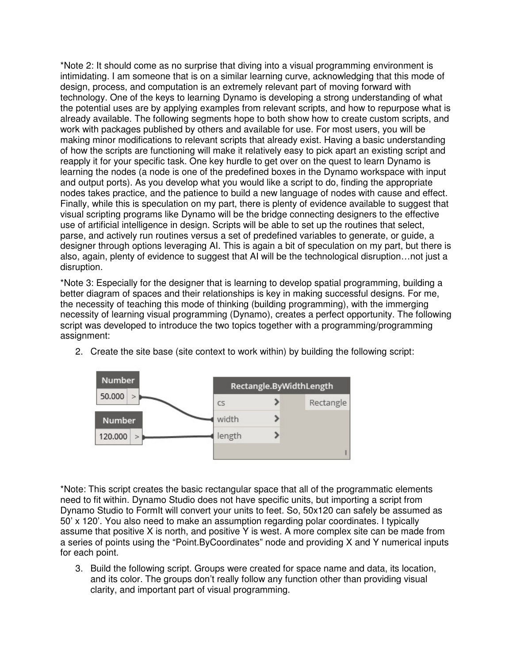\*Note 2: It should come as no surprise that diving into a visual programming environment is intimidating. I am someone that is on a similar learning curve, acknowledging that this mode of design, process, and computation is an extremely relevant part of moving forward with technology. One of the keys to learning Dynamo is developing a strong understanding of what the potential uses are by applying examples from relevant scripts, and how to repurpose what is already available. The following segments hope to both show how to create custom scripts, and work with packages published by others and available for use. For most users, you will be making minor modifications to relevant scripts that already exist. Having a basic understanding of how the scripts are functioning will make it relatively easy to pick apart an existing script and reapply it for your specific task. One key hurdle to get over on the quest to learn Dynamo is learning the nodes (a node is one of the predefined boxes in the Dynamo workspace with input and output ports). As you develop what you would like a script to do, finding the appropriate nodes takes practice, and the patience to build a new language of nodes with cause and effect. Finally, while this is speculation on my part, there is plenty of evidence available to suggest that visual scripting programs like Dynamo will be the bridge connecting designers to the effective use of artificial intelligence in design. Scripts will be able to set up the routines that select, parse, and actively run routines versus a set of predefined variables to generate, or guide, a designer through options leveraging AI. This is again a bit of speculation on my part, but there is also, again, plenty of evidence to suggest that AI will be the technological disruption…not just a disruption.

\*Note 3: Especially for the designer that is learning to develop spatial programming, building a better diagram of spaces and their relationships is key in making successful designs. For me, the necessity of teaching this mode of thinking (building programming), with the immerging necessity of learning visual programming (Dynamo), creates a perfect opportunity. The following script was developed to introduce the two topics together with a programming/programming assignment:



2. Create the site base (site context to work within) by building the following script:

\*Note: This script creates the basic rectangular space that all of the programmatic elements need to fit within. Dynamo Studio does not have specific units, but importing a script from Dynamo Studio to FormIt will convert your units to feet. So, 50x120 can safely be assumed as 50' x 120'. You also need to make an assumption regarding polar coordinates. I typically assume that positive X is north, and positive Y is west. A more complex site can be made from a series of points using the "Point.ByCoordinates" node and providing X and Y numerical inputs for each point.

3. Build the following script. Groups were created for space name and data, its location, and its color. The groups don't really follow any function other than providing visual clarity, and important part of visual programming.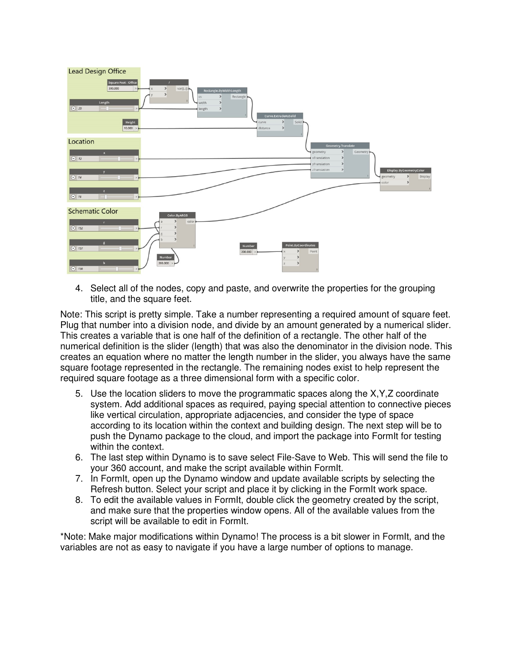

4. Select all of the nodes, copy and paste, and overwrite the properties for the grouping title, and the square feet.

Note: This script is pretty simple. Take a number representing a required amount of square feet. Plug that number into a division node, and divide by an amount generated by a numerical slider. This creates a variable that is one half of the definition of a rectangle. The other half of the numerical definition is the slider (length) that was also the denominator in the division node. This creates an equation where no matter the length number in the slider, you always have the same square footage represented in the rectangle. The remaining nodes exist to help represent the required square footage as a three dimensional form with a specific color.

- 5. Use the location sliders to move the programmatic spaces along the X,Y,Z coordinate system. Add additional spaces as required, paying special attention to connective pieces like vertical circulation, appropriate adjacencies, and consider the type of space according to its location within the context and building design. The next step will be to push the Dynamo package to the cloud, and import the package into FormIt for testing within the context.
- 6. The last step within Dynamo is to save select File-Save to Web. This will send the file to your 360 account, and make the script available within FormIt.
- 7. In FormIt, open up the Dynamo window and update available scripts by selecting the Refresh button. Select your script and place it by clicking in the FormIt work space.
- 8. To edit the available values in FormIt, double click the geometry created by the script, and make sure that the properties window opens. All of the available values from the script will be available to edit in FormIt.

\*Note: Make major modifications within Dynamo! The process is a bit slower in FormIt, and the variables are not as easy to navigate if you have a large number of options to manage.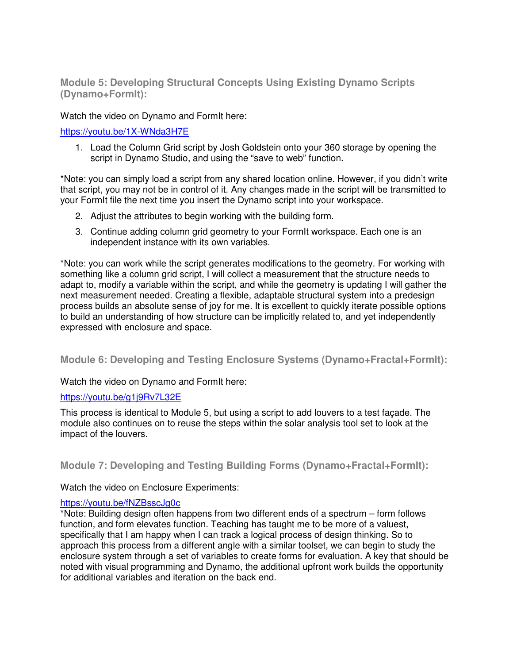**Module 5: Developing Structural Concepts Using Existing Dynamo Scripts (Dynamo+FormIt):** 

Watch the video on Dynamo and FormIt here:

https://youtu.be/1X-WNda3H7E

1. Load the Column Grid script by Josh Goldstein onto your 360 storage by opening the script in Dynamo Studio, and using the "save to web" function.

\*Note: you can simply load a script from any shared location online. However, if you didn't write that script, you may not be in control of it. Any changes made in the script will be transmitted to your FormIt file the next time you insert the Dynamo script into your workspace.

- 2. Adjust the attributes to begin working with the building form.
- 3. Continue adding column grid geometry to your FormIt workspace. Each one is an independent instance with its own variables.

\*Note: you can work while the script generates modifications to the geometry. For working with something like a column grid script, I will collect a measurement that the structure needs to adapt to, modify a variable within the script, and while the geometry is updating I will gather the next measurement needed. Creating a flexible, adaptable structural system into a predesign process builds an absolute sense of joy for me. It is excellent to quickly iterate possible options to build an understanding of how structure can be implicitly related to, and yet independently expressed with enclosure and space.

## **Module 6: Developing and Testing Enclosure Systems (Dynamo+Fractal+FormIt):**

Watch the video on Dynamo and FormIt here:

#### https://youtu.be/g1j9Rv7L32E

This process is identical to Module 5, but using a script to add louvers to a test façade. The module also continues on to reuse the steps within the solar analysis tool set to look at the impact of the louvers.

## **Module 7: Developing and Testing Building Forms (Dynamo+Fractal+FormIt):**

Watch the video on Enclosure Experiments:

#### https://youtu.be/fNZBsscJg0c

\*Note: Building design often happens from two different ends of a spectrum – form follows function, and form elevates function. Teaching has taught me to be more of a valuest, specifically that I am happy when I can track a logical process of design thinking. So to approach this process from a different angle with a similar toolset, we can begin to study the enclosure system through a set of variables to create forms for evaluation. A key that should be noted with visual programming and Dynamo, the additional upfront work builds the opportunity for additional variables and iteration on the back end.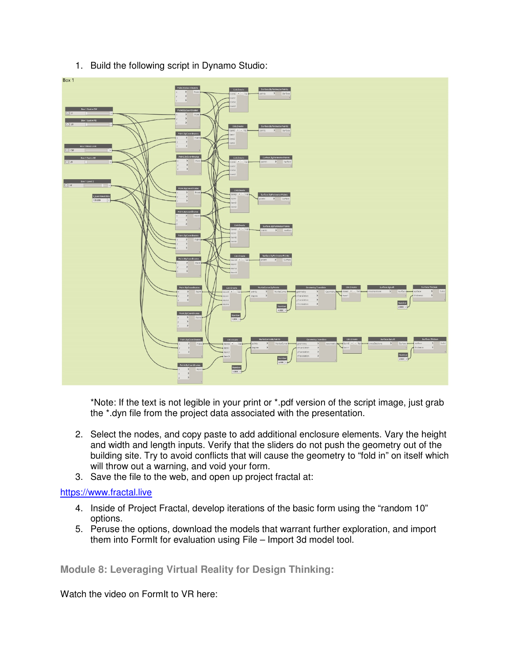

1. Build the following script in Dynamo Studio:

\*Note: If the text is not legible in your print or \*.pdf version of the script image, just grab the \*.dyn file from the project data associated with the presentation.

- 2. Select the nodes, and copy paste to add additional enclosure elements. Vary the height and width and length inputs. Verify that the sliders do not push the geometry out of the building site. Try to avoid conflicts that will cause the geometry to "fold in" on itself which will throw out a warning, and void your form.
- 3. Save the file to the web, and open up project fractal at:

# https://www.fractal.live

- 4. Inside of Project Fractal, develop iterations of the basic form using the "random 10" options.
- 5. Peruse the options, download the models that warrant further exploration, and import them into FormIt for evaluation using File – Import 3d model tool.

**Module 8: Leveraging Virtual Reality for Design Thinking:** 

Watch the video on FormIt to VR here: